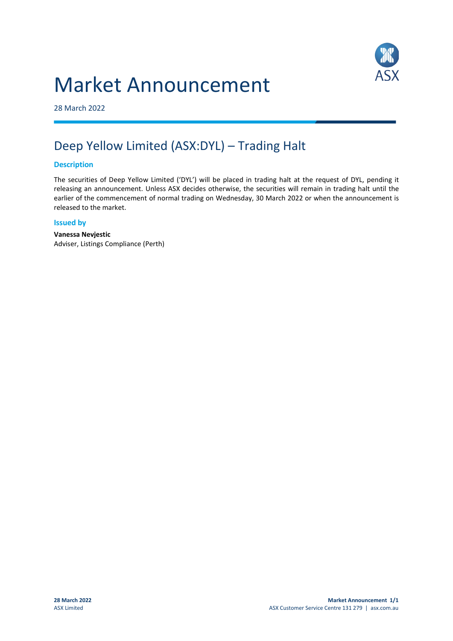# Market Announcement



28 March 2022

## Deep Yellow Limited (ASX:DYL) – Trading Halt

#### **Description**

The securities of Deep Yellow Limited ('DYL') will be placed in trading halt at the request of DYL, pending it releasing an announcement. Unless ASX decides otherwise, the securities will remain in trading halt until the earlier of the commencement of normal trading on Wednesday, 30 March 2022 or when the announcement is released to the market.

#### **Issued by**

**Vanessa Nevjestic** Adviser, Listings Compliance (Perth)